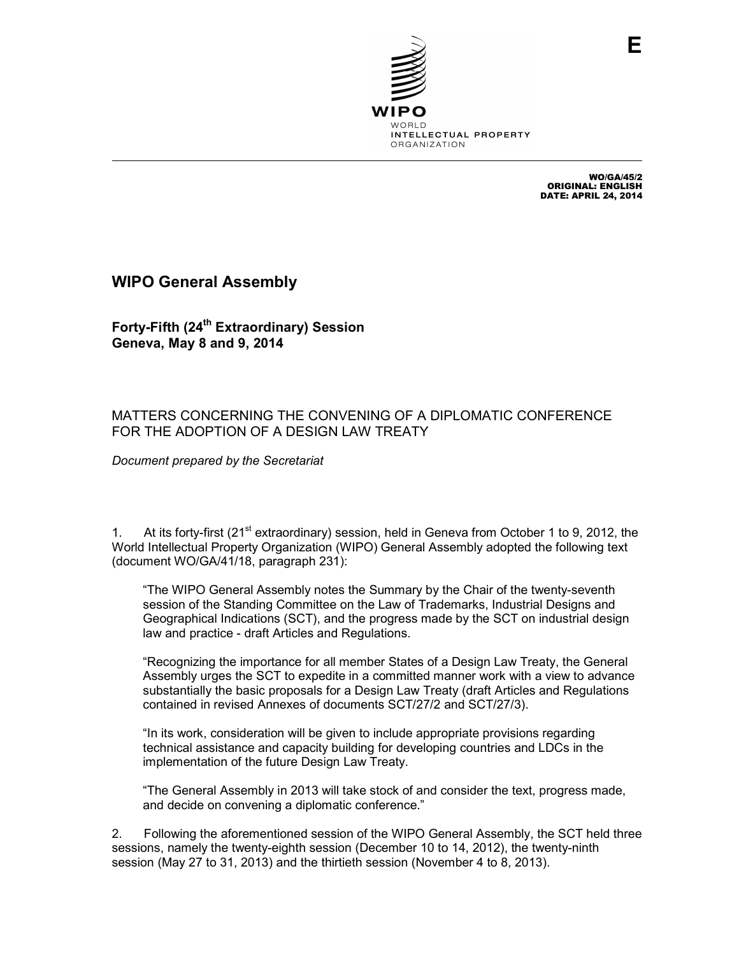

WO/GA/45/2 ORIGINAL: ENGLISH DATE: APRIL 24, 2014

## **WIPO General Assembly**

**Forty-Fifth (24th Extraordinary) Session Geneva, May 8 and 9, 2014** 

## MATTERS CONCERNING THE CONVENING OF A DIPLOMATIC CONFERENCE FOR THE ADOPTION OF A DESIGN LAW TREATY

*Document prepared by the Secretariat* 

1. At its forty-first (21<sup>st</sup> extraordinary) session, held in Geneva from October 1 to 9, 2012, the World Intellectual Property Organization (WIPO) General Assembly adopted the following text (document WO/GA/41/18, paragraph 231):

"The WIPO General Assembly notes the Summary by the Chair of the twenty-seventh session of the Standing Committee on the Law of Trademarks, Industrial Designs and Geographical Indications (SCT), and the progress made by the SCT on industrial design law and practice - draft Articles and Regulations.

"Recognizing the importance for all member States of a Design Law Treaty, the General Assembly urges the SCT to expedite in a committed manner work with a view to advance substantially the basic proposals for a Design Law Treaty (draft Articles and Regulations contained in revised Annexes of documents SCT/27/2 and SCT/27/3).

"In its work, consideration will be given to include appropriate provisions regarding technical assistance and capacity building for developing countries and LDCs in the implementation of the future Design Law Treaty.

"The General Assembly in 2013 will take stock of and consider the text, progress made, and decide on convening a diplomatic conference."

2. Following the aforementioned session of the WIPO General Assembly, the SCT held three sessions, namely the twenty-eighth session (December 10 to 14, 2012), the twenty-ninth session (May 27 to 31, 2013) and the thirtieth session (November 4 to 8, 2013).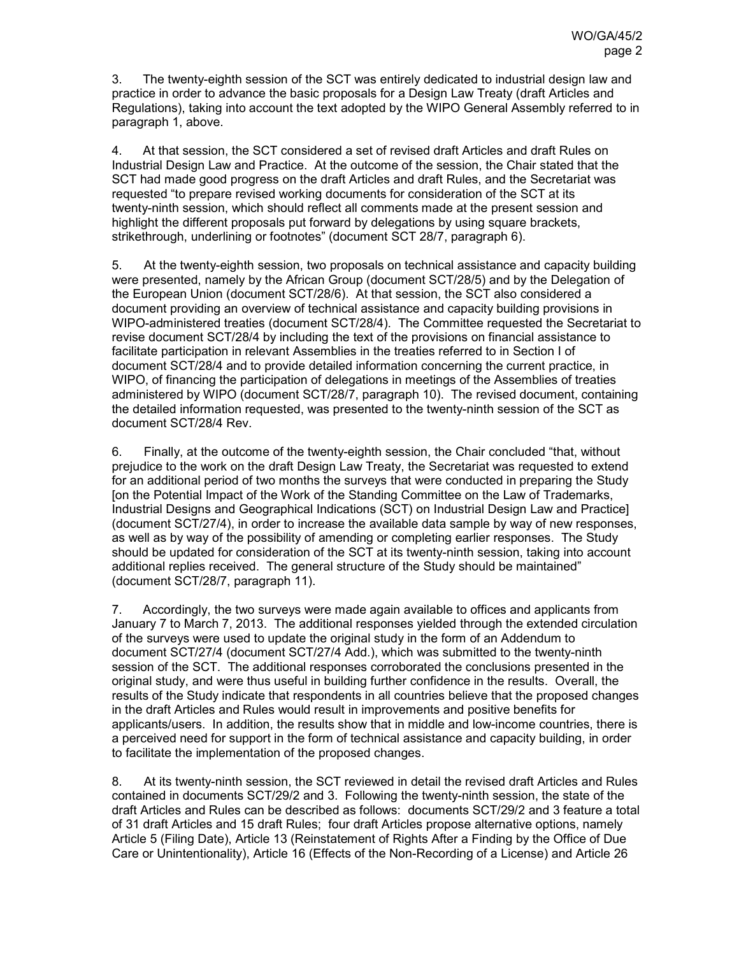3. The twenty-eighth session of the SCT was entirely dedicated to industrial design law and practice in order to advance the basic proposals for a Design Law Treaty (draft Articles and Regulations), taking into account the text adopted by the WIPO General Assembly referred to in paragraph 1, above.

4. At that session, the SCT considered a set of revised draft Articles and draft Rules on Industrial Design Law and Practice. At the outcome of the session, the Chair stated that the SCT had made good progress on the draft Articles and draft Rules, and the Secretariat was requested "to prepare revised working documents for consideration of the SCT at its twenty-ninth session, which should reflect all comments made at the present session and highlight the different proposals put forward by delegations by using square brackets, strikethrough, underlining or footnotes" (document SCT 28/7, paragraph 6).

5. At the twenty-eighth session, two proposals on technical assistance and capacity building were presented, namely by the African Group (document SCT/28/5) and by the Delegation of the European Union (document SCT/28/6). At that session, the SCT also considered a document providing an overview of technical assistance and capacity building provisions in WIPO-administered treaties (document SCT/28/4). The Committee requested the Secretariat to revise document SCT/28/4 by including the text of the provisions on financial assistance to facilitate participation in relevant Assemblies in the treaties referred to in Section I of document SCT/28/4 and to provide detailed information concerning the current practice, in WIPO, of financing the participation of delegations in meetings of the Assemblies of treaties administered by WIPO (document SCT/28/7, paragraph 10). The revised document, containing the detailed information requested, was presented to the twenty-ninth session of the SCT as document SCT/28/4 Rev.

6. Finally, at the outcome of the twenty-eighth session, the Chair concluded "that, without prejudice to the work on the draft Design Law Treaty, the Secretariat was requested to extend for an additional period of two months the surveys that were conducted in preparing the Study [on the Potential Impact of the Work of the Standing Committee on the Law of Trademarks, Industrial Designs and Geographical Indications (SCT) on Industrial Design Law and Practice] (document SCT/27/4), in order to increase the available data sample by way of new responses, as well as by way of the possibility of amending or completing earlier responses. The Study should be updated for consideration of the SCT at its twenty-ninth session, taking into account additional replies received. The general structure of the Study should be maintained" (document SCT/28/7, paragraph 11).

7. Accordingly, the two surveys were made again available to offices and applicants from January 7 to March 7, 2013. The additional responses yielded through the extended circulation of the surveys were used to update the original study in the form of an Addendum to document SCT/27/4 (document SCT/27/4 Add.), which was submitted to the twenty-ninth session of the SCT. The additional responses corroborated the conclusions presented in the original study, and were thus useful in building further confidence in the results. Overall, the results of the Study indicate that respondents in all countries believe that the proposed changes in the draft Articles and Rules would result in improvements and positive benefits for applicants/users. In addition, the results show that in middle and low-income countries, there is a perceived need for support in the form of technical assistance and capacity building, in order to facilitate the implementation of the proposed changes.

8. At its twenty-ninth session, the SCT reviewed in detail the revised draft Articles and Rules contained in documents SCT/29/2 and 3. Following the twenty-ninth session, the state of the draft Articles and Rules can be described as follows: documents SCT/29/2 and 3 feature a total of 31 draft Articles and 15 draft Rules; four draft Articles propose alternative options, namely Article 5 (Filing Date), Article 13 (Reinstatement of Rights After a Finding by the Office of Due Care or Unintentionality), Article 16 (Effects of the Non-Recording of a License) and Article 26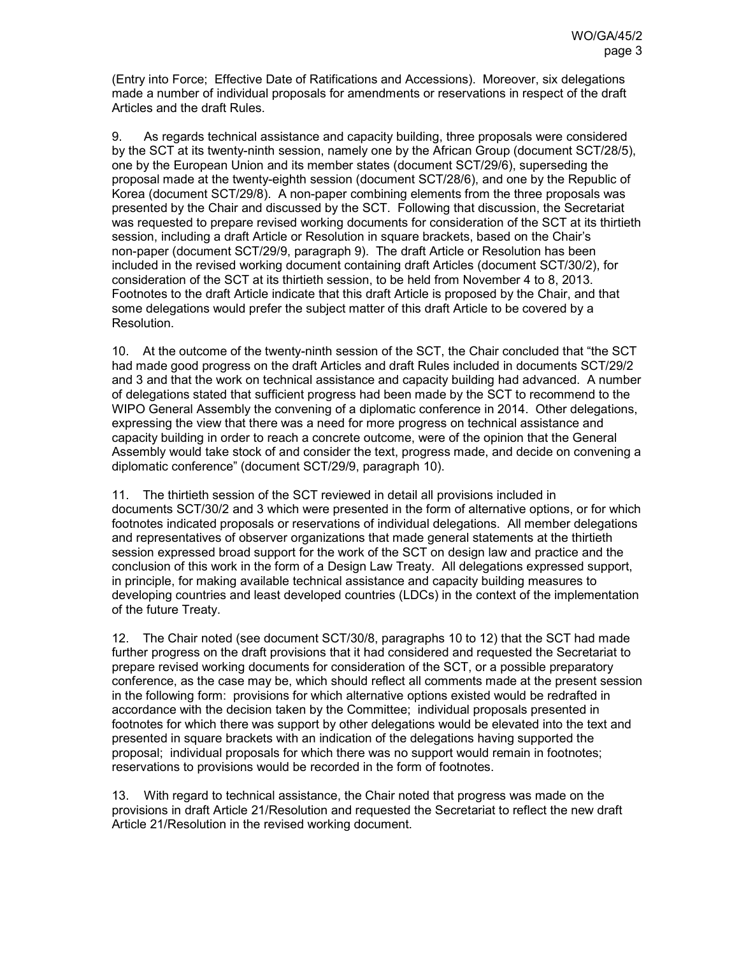(Entry into Force; Effective Date of Ratifications and Accessions). Moreover, six delegations made a number of individual proposals for amendments or reservations in respect of the draft Articles and the draft Rules.

9. As regards technical assistance and capacity building, three proposals were considered by the SCT at its twenty-ninth session, namely one by the African Group (document SCT/28/5), one by the European Union and its member states (document SCT/29/6), superseding the proposal made at the twenty-eighth session (document SCT/28/6), and one by the Republic of Korea (document SCT/29/8). A non-paper combining elements from the three proposals was presented by the Chair and discussed by the SCT. Following that discussion, the Secretariat was requested to prepare revised working documents for consideration of the SCT at its thirtieth session, including a draft Article or Resolution in square brackets, based on the Chair's non-paper (document SCT/29/9, paragraph 9). The draft Article or Resolution has been included in the revised working document containing draft Articles (document SCT/30/2), for consideration of the SCT at its thirtieth session, to be held from November 4 to 8, 2013. Footnotes to the draft Article indicate that this draft Article is proposed by the Chair, and that some delegations would prefer the subject matter of this draft Article to be covered by a Resolution.

10. At the outcome of the twenty-ninth session of the SCT, the Chair concluded that "the SCT had made good progress on the draft Articles and draft Rules included in documents SCT/29/2 and 3 and that the work on technical assistance and capacity building had advanced. A number of delegations stated that sufficient progress had been made by the SCT to recommend to the WIPO General Assembly the convening of a diplomatic conference in 2014. Other delegations, expressing the view that there was a need for more progress on technical assistance and capacity building in order to reach a concrete outcome, were of the opinion that the General Assembly would take stock of and consider the text, progress made, and decide on convening a diplomatic conference" (document SCT/29/9, paragraph 10).

11. The thirtieth session of the SCT reviewed in detail all provisions included in documents SCT/30/2 and 3 which were presented in the form of alternative options, or for which footnotes indicated proposals or reservations of individual delegations. All member delegations and representatives of observer organizations that made general statements at the thirtieth session expressed broad support for the work of the SCT on design law and practice and the conclusion of this work in the form of a Design Law Treaty. All delegations expressed support, in principle, for making available technical assistance and capacity building measures to developing countries and least developed countries (LDCs) in the context of the implementation of the future Treaty.

12. The Chair noted (see document SCT/30/8, paragraphs 10 to 12) that the SCT had made further progress on the draft provisions that it had considered and requested the Secretariat to prepare revised working documents for consideration of the SCT, or a possible preparatory conference, as the case may be, which should reflect all comments made at the present session in the following form: provisions for which alternative options existed would be redrafted in accordance with the decision taken by the Committee; individual proposals presented in footnotes for which there was support by other delegations would be elevated into the text and presented in square brackets with an indication of the delegations having supported the proposal; individual proposals for which there was no support would remain in footnotes; reservations to provisions would be recorded in the form of footnotes.

13. With regard to technical assistance, the Chair noted that progress was made on the provisions in draft Article 21/Resolution and requested the Secretariat to reflect the new draft Article 21/Resolution in the revised working document.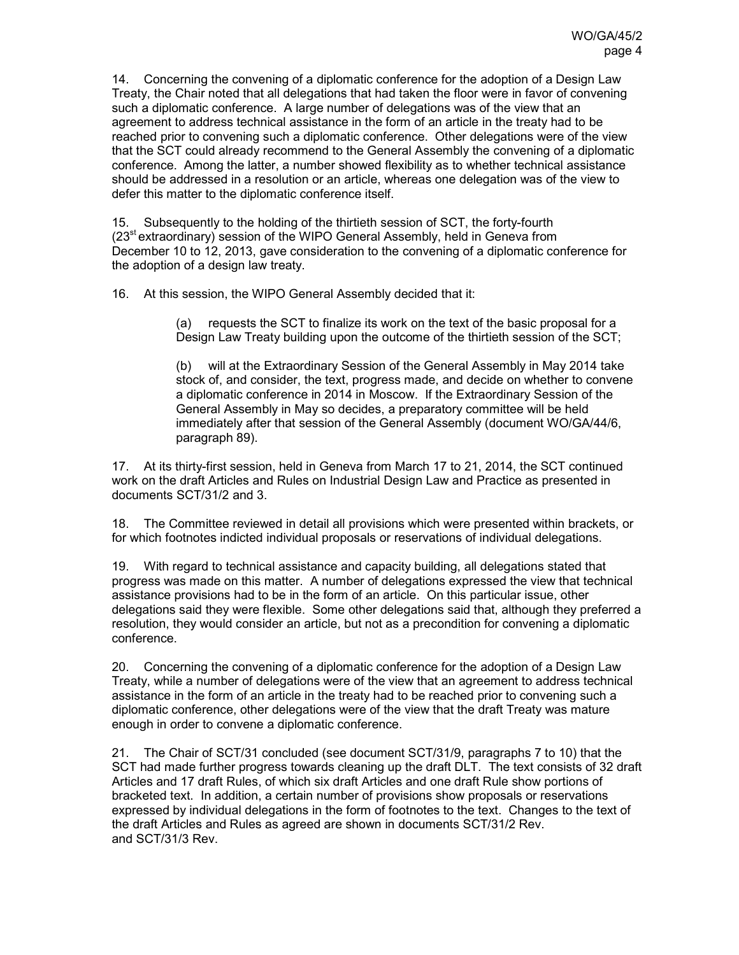14. Concerning the convening of a diplomatic conference for the adoption of a Design Law Treaty, the Chair noted that all delegations that had taken the floor were in favor of convening such a diplomatic conference. A large number of delegations was of the view that an agreement to address technical assistance in the form of an article in the treaty had to be reached prior to convening such a diplomatic conference. Other delegations were of the view that the SCT could already recommend to the General Assembly the convening of a diplomatic conference. Among the latter, a number showed flexibility as to whether technical assistance should be addressed in a resolution or an article, whereas one delegation was of the view to defer this matter to the diplomatic conference itself.

15. Subsequently to the holding of the thirtieth session of SCT, the forty-fourth (23st extraordinary) session of the WIPO General Assembly, held in Geneva from December 10 to 12, 2013, gave consideration to the convening of a diplomatic conference for the adoption of a design law treaty.

16. At this session, the WIPO General Assembly decided that it:

(a) requests the SCT to finalize its work on the text of the basic proposal for a Design Law Treaty building upon the outcome of the thirtieth session of the SCT;

(b) will at the Extraordinary Session of the General Assembly in May 2014 take stock of, and consider, the text, progress made, and decide on whether to convene a diplomatic conference in 2014 in Moscow. If the Extraordinary Session of the General Assembly in May so decides, a preparatory committee will be held immediately after that session of the General Assembly (document WO/GA/44/6, paragraph 89).

17. At its thirty-first session, held in Geneva from March 17 to 21, 2014, the SCT continued work on the draft Articles and Rules on Industrial Design Law and Practice as presented in documents SCT/31/2 and 3.

18. The Committee reviewed in detail all provisions which were presented within brackets, or for which footnotes indicted individual proposals or reservations of individual delegations.

19. With regard to technical assistance and capacity building, all delegations stated that progress was made on this matter. A number of delegations expressed the view that technical assistance provisions had to be in the form of an article. On this particular issue, other delegations said they were flexible. Some other delegations said that, although they preferred a resolution, they would consider an article, but not as a precondition for convening a diplomatic conference.

20. Concerning the convening of a diplomatic conference for the adoption of a Design Law Treaty, while a number of delegations were of the view that an agreement to address technical assistance in the form of an article in the treaty had to be reached prior to convening such a diplomatic conference, other delegations were of the view that the draft Treaty was mature enough in order to convene a diplomatic conference.

21. The Chair of SCT/31 concluded (see document SCT/31/9, paragraphs 7 to 10) that the SCT had made further progress towards cleaning up the draft DLT. The text consists of 32 draft Articles and 17 draft Rules, of which six draft Articles and one draft Rule show portions of bracketed text. In addition, a certain number of provisions show proposals or reservations expressed by individual delegations in the form of footnotes to the text. Changes to the text of the draft Articles and Rules as agreed are shown in documents SCT/31/2 Rev. and SCT/31/3 Rev.